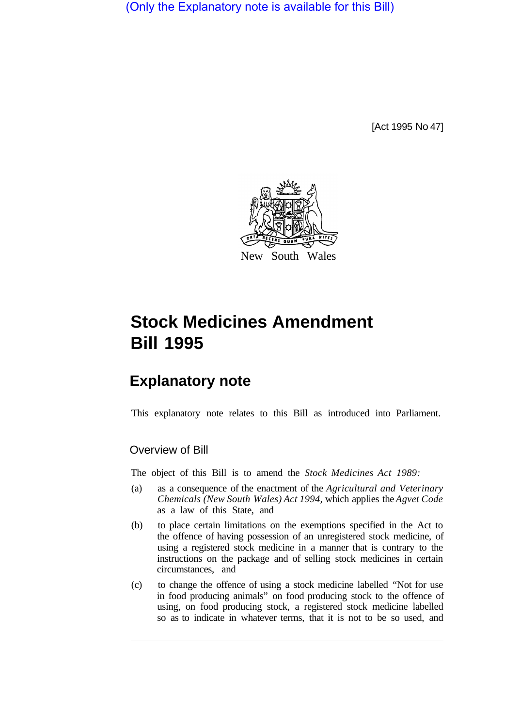(Only the Explanatory note is available for this Bill)

[Act 1995 No 47]



# **Stock Medicines Amendment Bill 1995**

# **Explanatory note**

This explanatory note relates to this Bill as introduced into Parliament.

# Overview of Bill

The object of this Bill is to amend the *Stock Medicines Act 1989:* 

- (a) as a consequence of the enactment of the *Agricultural and Veterinary Chemicals (New South Wales) Act 1994,* which applies the *Agvet Code*  as a law of this State, and
- (b) to place certain limitations on the exemptions specified in the Act to the offence of having possession of an unregistered stock medicine, of using a registered stock medicine in a manner that is contrary to the instructions on the package and of selling stock medicines in certain circumstances, and
- (c) to change the offence of using a stock medicine labelled "Not for use in food producing animals" on food producing stock to the offence of using, on food producing stock, a registered stock medicine labelled so as to indicate in whatever terms, that it is not to be so used, and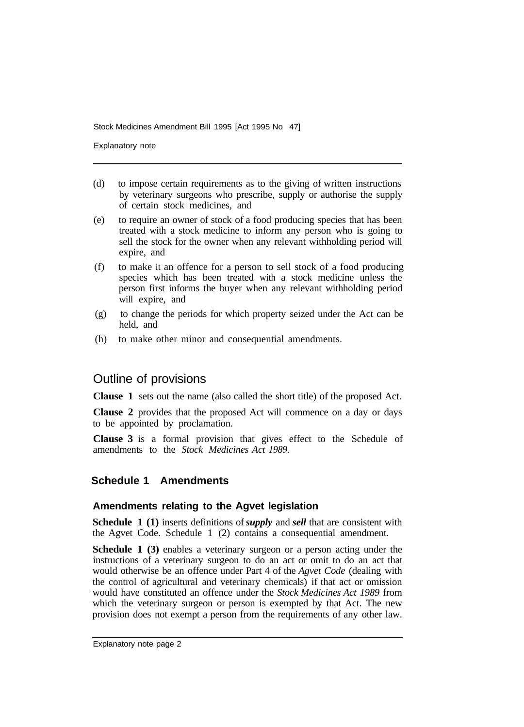Explanatory note

- (d) to impose certain requirements as to the giving of written instructions by veterinary surgeons who prescribe, supply or authorise the supply of certain stock medicines, and
- (e) to require an owner of stock of a food producing species that has been treated with a stock medicine to inform any person who is going to sell the stock for the owner when any relevant withholding period will expire, and
- (f) to make it an offence for a person to sell stock of a food producing species which has been treated with a stock medicine unless the person first informs the buyer when any relevant withholding period will expire, and
- (g) to change the periods for which property seized under the Act can be held, and
- (h) to make other minor and consequential amendments.

# Outline of provisions

**Clause 1** sets out the name (also called the short title) of the proposed Act.

**Clause 2** provides that the proposed Act will commence on a day or days to be appointed by proclamation.

**Clause 3** is a formal provision that gives effect to the Schedule of amendments to the *Stock Medicines Act 1989.* 

# **Schedule 1 Amendments**

#### **Amendments relating to the Agvet legislation**

**Schedule 1 (1)** inserts definitions of *supply* and *sell* that are consistent with the Agvet Code. Schedule 1 (2) contains a consequential amendment.

**Schedule 1 (3)** enables a veterinary surgeon or a person acting under the instructions of a veterinary surgeon to do an act or omit to do an act that would otherwise be an offence under Part 4 of the *Agvet Code* (dealing with the control of agricultural and veterinary chemicals) if that act or omission would have constituted an offence under the *Stock Medicines Act 1989* from which the veterinary surgeon or person is exempted by that Act. The new provision does not exempt a person from the requirements of any other law.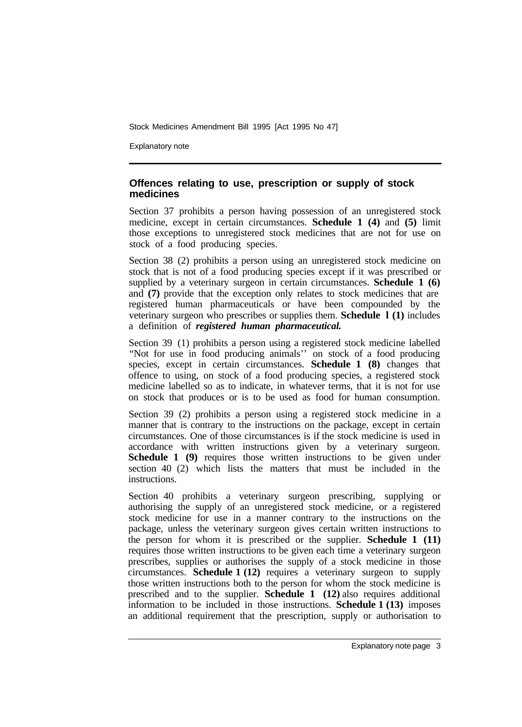Explanatory note

#### **Offences relating to use, prescription or supply of stock medicines**

Section 37 prohibits a person having possession of an unregistered stock medicine, except in certain circumstances. **Schedule 1 (4)** and **(5)** limit those exceptions to unregistered stock medicines that are not for use on stock of a food producing species.

Section 38 (2) prohibits a person using an unregistered stock medicine on stock that is not of a food producing species except if it was prescribed or supplied by a veterinary surgeon in certain circumstances. **Schedule 1 (6)**  and **(7)** provide that the exception only relates to stock medicines that are registered human pharmaceuticals or have been compounded by the veterinary surgeon who prescribes or supplies them. **Schedule l (1)** includes a definition of *registered human pharmaceutical.* 

Section 39 (1) prohibits a person using a registered stock medicine labelled "Not for use in food producing animals'' on stock of a food producing species, except in certain circumstances. **Schedule 1 (8)** changes that offence to using, on stock of a food producing species, a registered stock medicine labelled so as to indicate, in whatever terms, that it is not for use on stock that produces or is to be used as food for human consumption.

Section 39 (2) prohibits a person using a registered stock medicine in a manner that is contrary to the instructions on the package, except in certain circumstances. One of those circumstances is if the stock medicine is used in accordance with written instructions given by a veterinary surgeon. **Schedule 1 (9)** requires those written instructions to be given under section 40 (2) which lists the matters that must be included in the instructions.

Section 40 prohibits a veterinary surgeon prescribing, supplying or authorising the supply of an unregistered stock medicine, or a registered stock medicine for use in a manner contrary to the instructions on the package, unless the veterinary surgeon gives certain written instructions to the person for whom it is prescribed or the supplier. **Schedule 1 (11)**  requires those written instructions to be given each time a veterinary surgeon prescribes, supplies or authorises the supply of a stock medicine in those circumstances. **Schedule 1 (12)** requires a veterinary surgeon to supply those written instructions both to the person for whom the stock medicine is prescribed and to the supplier. **Schedule 1 (12)** also requires additional information to be included in those instructions. **Schedule 1 (13)** imposes an additional requirement that the prescription, supply or authorisation to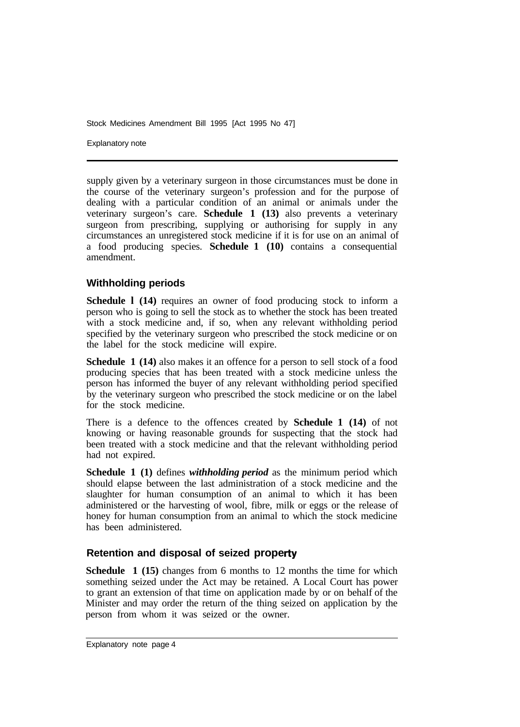Explanatory note

supply given by a veterinary surgeon in those circumstances must be done in the course of the veterinary surgeon's profession and for the purpose of dealing with a particular condition of an animal or animals under the veterinary surgeon's care. **Schedule 1 (13)** also prevents a veterinary surgeon from prescribing, supplying or authorising for supply in any circumstances an unregistered stock medicine if it is for use on an animal of a food producing species. **Schedule 1 (10)** contains a consequential amendment.

# **Withholding periods**

**Schedule l (14)** requires an owner of food producing stock to inform a person who is going to sell the stock as to whether the stock has been treated with a stock medicine and, if so, when any relevant withholding period specified by the veterinary surgeon who prescribed the stock medicine or on the label for the stock medicine will expire.

**Schedule 1 (14)** also makes it an offence for a person to sell stock of a food producing species that has been treated with a stock medicine unless the person has informed the buyer of any relevant withholding period specified by the veterinary surgeon who prescribed the stock medicine or on the label for the stock medicine.

There is a defence to the offences created by **Schedule 1 (14)** of not knowing or having reasonable grounds for suspecting that the stock had been treated with a stock medicine and that the relevant withholding period had not expired.

**Schedule 1 (1)** defines *withholding period* as the minimum period which should elapse between the last administration of a stock medicine and the slaughter for human consumption of an animal to which it has been administered or the harvesting of wool, fibre, milk or eggs or the release of honey for human consumption from an animal to which the stock medicine has been administered.

# **Retention and disposal of seized property**

**Schedule 1 (15)** changes from 6 months to 12 months the time for which something seized under the Act may be retained. A Local Court has power to grant an extension of that time on application made by or on behalf of the Minister and may order the return of the thing seized on application by the person from whom it was seized or the owner.